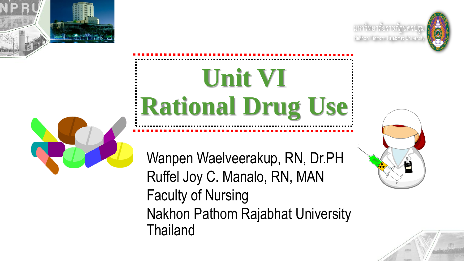







# **Unit VI Rational Drug Use**

Wanpen Waelveerakup, RN, Dr.PH Ruffel Joy C. Manalo, RN, MAN Faculty of Nursing Nakhon Pathom Rajabhat University **Thailand** 



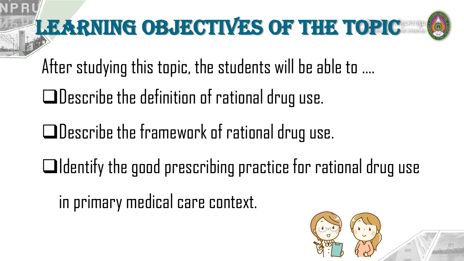

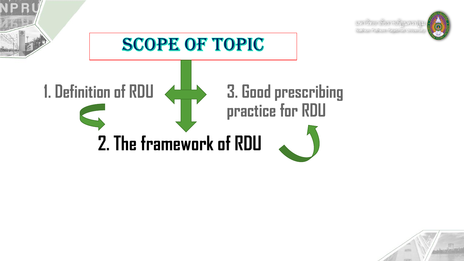

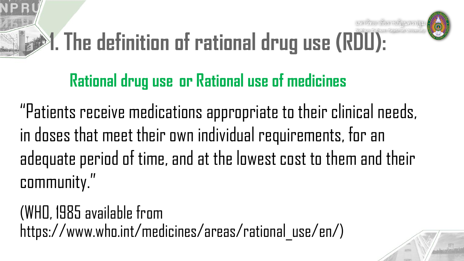# **1. The definition of rational drug use (RDU):**



## **Rational drug use or Rational use of medicines**

"Patients receive medications appropriate to their clinical needs, in doses that meet their own individual requirements, for an adequate period of time, and at the lowest cost to them and their community."

(WHO, 1985 available from https://www.who.int/medicines/areas/rational\_use/en/)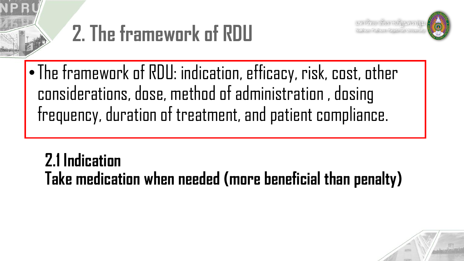







•The framework of RDU: indication, efficacy, risk, cost, other considerations, dose, method of administration , dosing frequency, duration of treatment, and patient compliance.

**2.1 Indication Take medication when needed (more beneficial than penalty)**

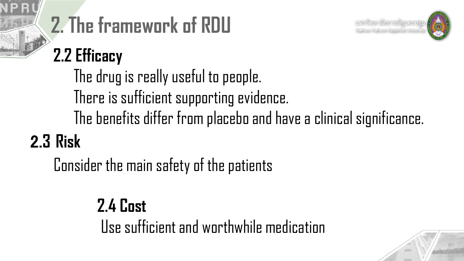



# **2. The framework of RDU**

# **2.2 Efficacy**

2.**3 Risk** The drug is really useful to people. There is sufficient supporting evidence. The benefits differ from placebo and have a clinical significance.

Consider the main safety of the patients

**2.4 Cost** Use sufficient and worthwhile medication

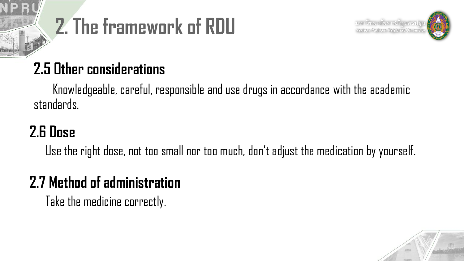





#### **2.5 Other considerations**

Knowledgeable, careful, responsible and use drugs in accordance with the academic standards.

## **2.6 Dose**

Use the right dose, not too small nor too much, don't adjust the medication by yourself.

### **2.7 Method of administration**

Take the medicine correctly.

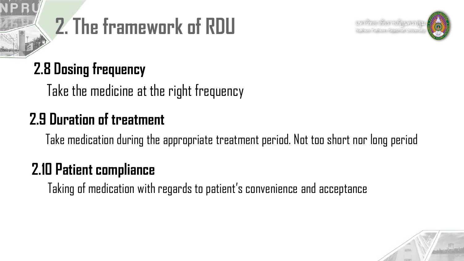





#### **2.8 Dosing frequency**

Take the medicine at the right frequency

#### **2.9 Duration of treatment**

Take medication during the appropriate treatment period. Not too short nor long period

## **2.10 Patient compliance**

Taking of medication with regards to patient's convenience and acceptance

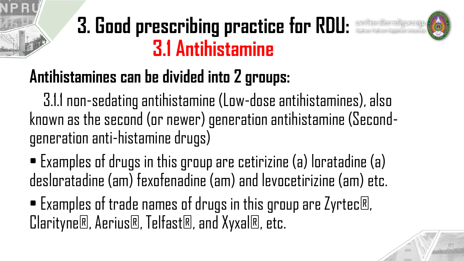

# **Antihistamines can be divided into 2 groups:**

3.1.1 non-sedating antihistamine (Low-dose antihistamines), also known as the second (or newer) generation antihistamine (Secondgeneration anti-histamine drugs)

• Examples of drugs in this group are cetirizine (a) loratadine (a) desloratadine (am) fexofenadine (am) and levocetirizine (am) etc.

• Examples of trade names of drugs in this group are Zyrtec®, Clarityne®, Aerius®, Telfast®, and Xyxal®, etc.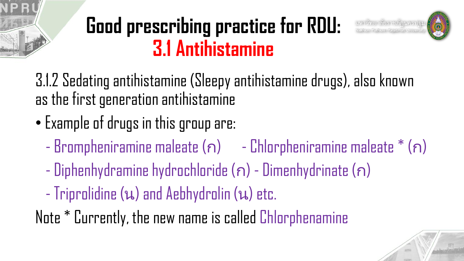# **Good prescribing practice for RDU: 3.1 Antihistamine**



3.1.2 Sedating antihistamine (Sleepy antihistamine drugs), also known as the first generation antihistamine

- Example of drugs in this group are:
	- $-$  Brompheniramine maleate  $(n)$  Chlorpheniramine maleate  $*(n)$
	- Diphenhydramine hydrochloride (ก) Dimenhydrinate (ก)
	- Triprolidine (น) and Aebhydrolin (น) etc.
- Note \* Currently, the new name is called Chlorphenamine

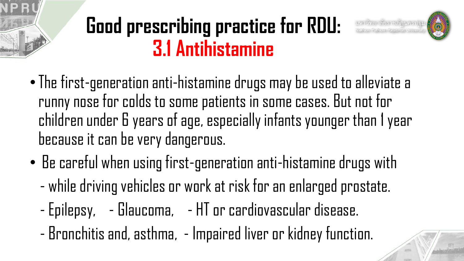# **Good prescribing practice for RDU: 3.1 Antihistamine**



- •The first-generation anti-histamine drugs may be used to alleviate a runny nose for colds to some patients in some cases. But not for children under 6 years of age, especially infants younger than 1 year because it can be very dangerous.
- Be careful when using first-generation anti-histamine drugs with
	- while driving vehicles or work at risk for an enlarged prostate.
	- Epilepsy, Glaucoma, HT or cardiovascular disease.
	- Bronchitis and, asthma, Impaired liver or kidney function.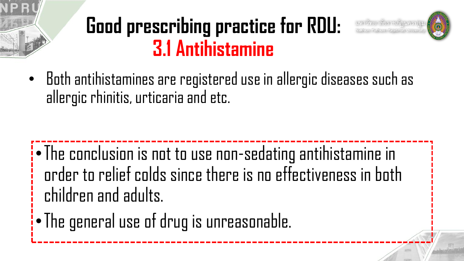# **Good prescribing practice for RDU: 3.1 Antihistamine**





•The conclusion is not to use non-sedating antihistamine in order to relief colds since there is no effectiveness in both children and adults.

•The general use of drug is unreasonable.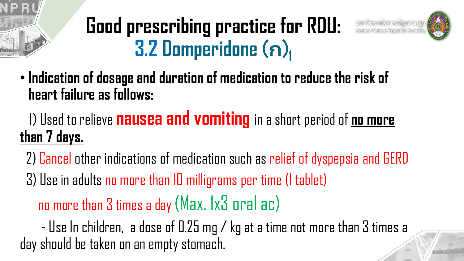#### **Good prescribing practice for RDU: 3.2 Domperidone** (ก) **1**





### 1) Used to relieve **nausea and vomiting** in a short period of **no more than 7 days.**

2) Cancel other indications of medication such as relief of dyspepsia and GERD 3) Use in adults no more than 10 milligrams per time (1 tablet) no more than 3 times a day (Max. 1x3 oral ac)

- Use In children, a dose of 0.25 mg / kg at a time not more than 3 times a day should be taken on an empty stomach.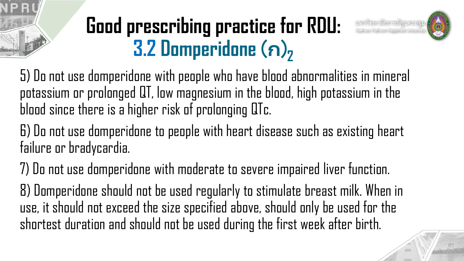#### **Good prescribing practice for RDU: 3.2 Domperidone** (ก) **2**



5) Do not use domperidone with people who have blood abnormalities in mineral potassium or prolonged QT, low magnesium in the blood, high potassium in the blood since there is a higher risk of prolonging QTc.

6) Do not use domperidone to people with heart disease such as existing heart failure or bradycardia.

7) Do not use domperidone with moderate to severe impaired liver function.

8) Domperidone should not be used regularly to stimulate breast milk. When in use, it should not exceed the size specified above, should only be used for the shortest duration and should not be used during the first week after birth.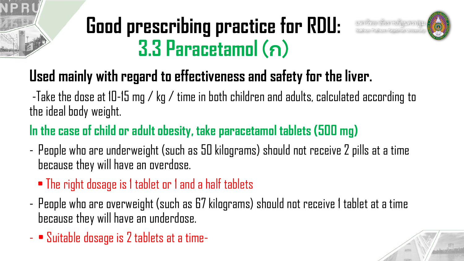# **Good prescribing practice for RDU: 3.3 Paracetamol** (ก)



#### **Used mainly with regard to effectiveness and safety for the liver.**

-Take the dose at 10-15 mg / kg / time in both children and adults, calculated according to the ideal body weight.

#### **In the case of child or adult obesity, take paracetamol tablets (500 mg)**

- People who are underweight (such as 50 kilograms) should not receive 2 pills at a time because they will have an overdose.
	- The right dosage is 1 tablet or 1 and a half tablets
- People who are overweight (such as 67 kilograms) should not receive 1 tablet at a time because they will have an underdose.
- • Suitable dosage is 2 tablets at a time-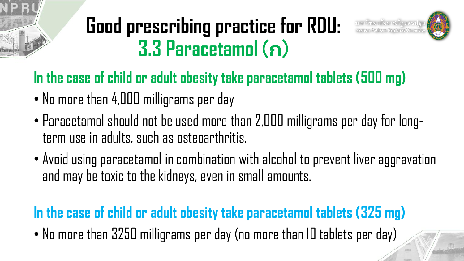# **Good prescribing practice for RDU: 3.3 Paracetamol** (ก)



#### **In the case of child or adult obesity take paracetamol tablets (500 mg)**

- No more than 4,000 milligrams per day
- Paracetamol should not be used more than 2,000 milligrams per day for longterm use in adults, such as osteoarthritis.
- Avoid using paracetamol in combination with alcohol to prevent liver aggravation and may be toxic to the kidneys, even in small amounts.

#### **In the case of child or adult obesity take paracetamol tablets (325 mg)**

• No more than 3250 milligrams per day (no more than 10 tablets per day)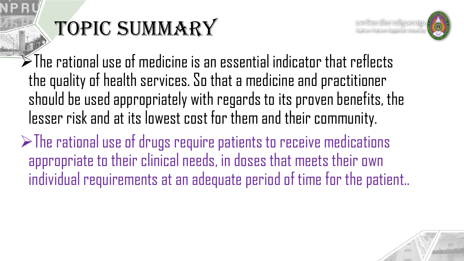# TOPIC SUMMARY



 $\blacktriangleright$ The rational use of medicine is an essential indicator that reflects the quality of health services. So that a medicine and practitioner should be used appropriately with regards to its proven benefits, the lesser risk and at its lowest cost for them and their community.

 $\triangleright$ The rational use of drugs require patients to receive medications appropriate to their clinical needs, in doses that meets their own individual requirements at an adequate period of time for the patient..